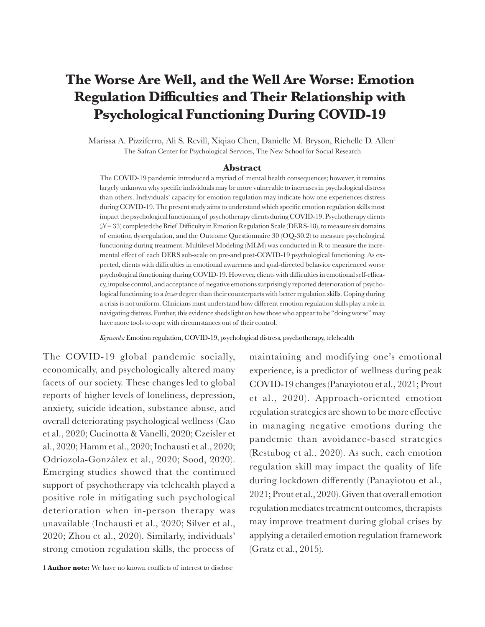# **Psychological Functioning During COVID-19 Regulation Difficulties and Their Relationship with The Worse Are Well, and the Well Are Worse: Emotion**

The Safran Center for Psychological Services, The New School for Social Research Marissa A. Pizziferro, Ali S. Revill, Xiqiao Chen, Danielle M. Bryson, Richelle D. Allen<sup>1</sup>

#### **Abstract**

have more tools to cope with circumstances out of their control. navigating distress. Further, this evidence sheds light on how those who appear to be "doing worse" may a crisis is not uniform. Clinicians must understand how different emotion regulation skills play a role in logical functioning to a *lesser* degree than their counterparts with better regulation skills. Coping during cy, impulse control, and acceptance of negative emotions surprisingly reported deterioration of psychopsychological functioning during COVID-19. However, clients with difficulties in emotional self-efficapected, clients with difficulties in emotional awareness and goal-directed behavior experienced worse mental effect of each DERS sub-scale on pre-and post-COVID-19 psychological functioning. As exfunctioning during treatment. Multilevel Modeling (MLM) was conducted in R to measure the increof emotion dysregulation, and the Outcome Questionnaire 30 (OQ-30.2) to measure psychological (*N*= 33) completed the Brief Difficulty in Emotion Regulation Scale (DERS-18), to measure six domains impact the psychological functioning of psychotherapy clients during COVID-19. Psychotherapy clients during COVID-19. The present study aims to understand which specific emotion regulation skills most than others. Individuals' capacity for emotion regulation may indicate how one experiences distress largely unknown why specific individuals may be more vulnerable to increases in psychological distress The COVID-19 pandemic introduced a myriad of mental health consequences; however, it remains

*Keywords:* Emotion regulation, COVID-19, psychological distress, psychotherapy, telehealth

The COVID-19 global pandemic socially, economically, and psychologically altered many facets of our society. These changes led to global reports of higher levels of loneliness, depression, anxiety, suicide ideation, substance abuse, and overall deteriorating psychological wellness (Cao et al., 2020; Cucinotta & Vanelli, 2020; Czeisler et al., 2020; Hamm et al., 2020; Inchausti et al., 2020; Odriozola-González et al., 2020; Sood, 2020). Emerging studies showed that the continued support of psychotherapy via telehealth played a positive role in mitigating such psychological deterioration when in-person therapy was unavailable (Inchausti et al., 2020; Silver et al., 2020; Zhou et al., 2020). Similarly, individuals' strong emotion regulation skills, the process of

maintaining and modifying one's emotional experience, is a predictor of wellness during peak COVID-19 changes (Panayiotou et al., 2021; Prout et al., 2020). Approach-oriented emotion regulation strategies are shown to be more effective in managing negative emotions during the pandemic than avoidance-based strategies (Restubog et al., 2020). As such, each emotion regulation skill may impact the quality of life during lockdown differently (Panayiotou et al., 2021; Prout et al., 2020). Given that overall emotion regulation mediates treatment outcomes, therapists may improve treatment during global crises by applying a detailed emotion regulation framework (Gratz et al., 2015).

<sup>1</sup> **Author note:** We have no known conflicts of interest to disclose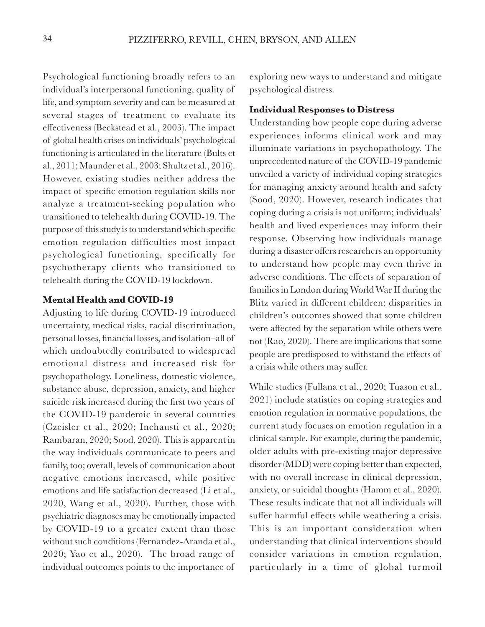Psychological functioning broadly refers to an individual's interpersonal functioning, quality of life, and symptom severity and can be measured at several stages of treatment to evaluate its effectiveness (Beckstead et al., 2003). The impact of global health crises on individuals' psychological functioning is articulated in the literature (Bults et al., 2011; Maunder et al., 2003; Shultz et al., 2016). However, existing studies neither address the impact of specific emotion regulation skills nor analyze a treatment-seeking population who transitioned to telehealth during COVID-19. The purpose of this study is to understand which specific emotion regulation difficulties most impact psychological functioning, specifically for psychotherapy clients who transitioned to telehealth during the COVID-19 lockdown.

### **Mental Health and COVID-19**

Adjusting to life during COVID-19 introduced uncertainty, medical risks, racial discrimination, personal losses, financial losses, and isolation–all of which undoubtedly contributed to widespread emotional distress and increased risk for psychopathology. Loneliness, domestic violence, substance abuse, depression, anxiety, and higher suicide risk increased during the first two years of the COVID-19 pandemic in several countries (Czeisler et al., 2020; Inchausti et al., 2020; Rambaran, 2020; Sood, 2020). This is apparent in the way individuals communicate to peers and family, too; overall, levels of communication about negative emotions increased, while positive emotions and life satisfaction decreased (Li et al., 2020, Wang et al., 2020). Further, those with psychiatric diagnoses may be emotionally impacted by COVID-19 to a greater extent than those without such conditions (Fernandez-Aranda et al., 2020; Yao et al., 2020). The broad range of individual outcomes points to the importance of

exploring new ways to understand and mitigate psychological distress.

### **Individual Responses to Distress**

Understanding how people cope during adverse experiences informs clinical work and may illuminate variations in psychopathology. The unprecedented nature of the COVID-19 pandemic unveiled a variety of individual coping strategies for managing anxiety around health and safety (Sood, 2020). However, research indicates that coping during a crisis is not uniform; individuals' health and lived experiences may inform their response. Observing how individuals manage during a disaster offers researchers an opportunity to understand how people may even thrive in adverse conditions. The effects of separation of families in London during World War II during the Blitz varied in different children; disparities in children's outcomes showed that some children were affected by the separation while others were not (Rao, 2020). There are implications that some people are predisposed to withstand the effects of a crisis while others may suffer.

While studies (Fullana et al., 2020; Tuason et al., 2021) include statistics on coping strategies and emotion regulation in normative populations, the current study focuses on emotion regulation in a clinical sample. For example, during the pandemic, older adults with pre-existing major depressive disorder (MDD) were coping better than expected, with no overall increase in clinical depression, anxiety, or suicidal thoughts (Hamm et al., 2020). These results indicate that not all individuals will suffer harmful effects while weathering a crisis. This is an important consideration when understanding that clinical interventions should consider variations in emotion regulation, particularly in a time of global turmoil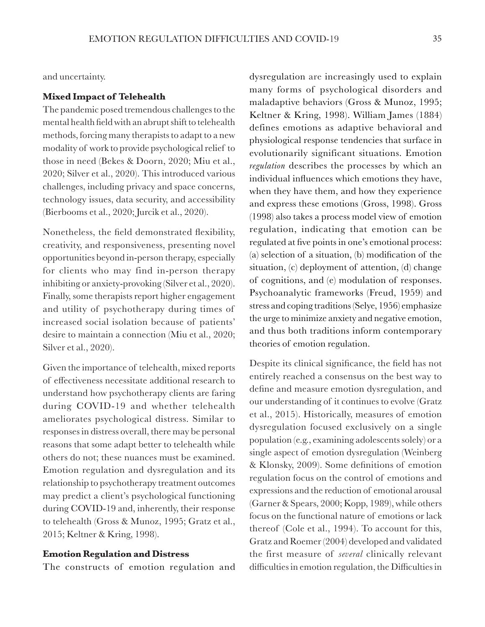and uncertainty.

#### **Mixed Impact of Telehealth**

The pandemic posed tremendous challenges to the mental health field with an abrupt shift to telehealth methods, forcing many therapists to adapt to a new modality of work to provide psychological relief to those in need (Bekes & Doorn, 2020; Miu et al., 2020; Silver et al., 2020). This introduced various challenges, including privacy and space concerns, technology issues, data security, and accessibility (Bierbooms et al., 2020; Jurcik et al., 2020).

Nonetheless, the field demonstrated flexibility, creativity, and responsiveness, presenting novel opportunities beyond in-person therapy, especially for clients who may find in-person therapy inhibiting or anxiety-provoking (Silver et al., 2020). Finally, some therapists report higher engagement and utility of psychotherapy during times of increased social isolation because of patients' desire to maintain a connection (Miu et al., 2020; Silver et al., 2020).

Given the importance of telehealth, mixed reports of effectiveness necessitate additional research to understand how psychotherapy clients are faring during COVID-19 and whether telehealth ameliorates psychological distress. Similar to responses in distress overall, there may be personal reasons that some adapt better to telehealth while others do not; these nuances must be examined. Emotion regulation and dysregulation and its relationship to psychotherapy treatment outcomes may predict a client's psychological functioning during COVID-19 and, inherently, their response to telehealth (Gross & Munoz, 1995; Gratz et al., 2015; Keltner & Kring, 1998).

#### **Emotion Regulation and Distress**

The constructs of emotion regulation and

dysregulation are increasingly used to explain many forms of psychological disorders and maladaptive behaviors (Gross & Munoz, 1995; Keltner & Kring, 1998). William James (1884) defines emotions as adaptive behavioral and physiological response tendencies that surface in evolutionarily significant situations. Emotion *regulation* describes the processes by which an individual influences which emotions they have, when they have them, and how they experience and express these emotions (Gross, 1998). Gross (1998) also takes a process model view of emotion regulation, indicating that emotion can be regulated at five points in one's emotional process: (a) selection of a situation, (b) modification of the situation, (c) deployment of attention, (d) change of cognitions, and (e) modulation of responses. Psychoanalytic frameworks (Freud, 1959) and stress and coping traditions (Selye, 1956) emphasize the urge to minimize anxiety and negative emotion, and thus both traditions inform contemporary theories of emotion regulation.

Despite its clinical significance, the field has not entirely reached a consensus on the best way to define and measure emotion dysregulation, and our understanding of it continues to evolve (Gratz et al., 2015). Historically, measures of emotion dysregulation focused exclusively on a single population (e.g., examining adolescents solely) or a single aspect of emotion dysregulation (Weinberg & Klonsky, 2009). Some definitions of emotion regulation focus on the control of emotions and expressions and the reduction of emotional arousal (Garner & Spears, 2000; Kopp, 1989), while others focus on the functional nature of emotions or lack thereof (Cole et al., 1994). To account for this, Gratz and Roemer (2004) developed and validated the first measure of *several* clinically relevant difficulties in emotion regulation, the Difficulties in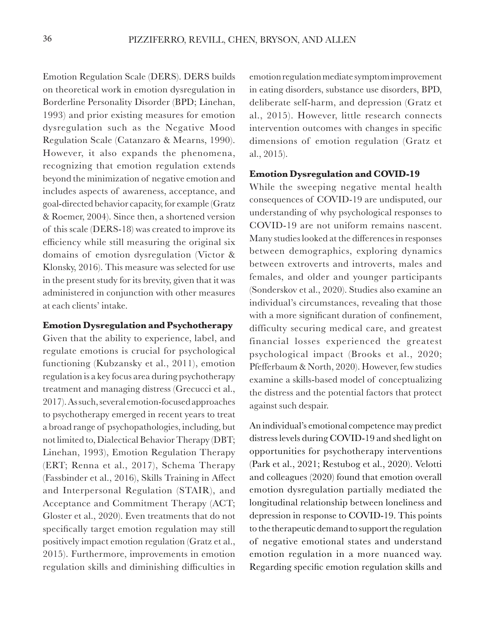Emotion Regulation Scale (DERS). DERS builds on theoretical work in emotion dysregulation in Borderline Personality Disorder (BPD; Linehan, 1993) and prior existing measures for emotion dysregulation such as the Negative Mood Regulation Scale (Catanzaro & Mearns, 1990). However, it also expands the phenomena, recognizing that emotion regulation extends beyond the minimization of negative emotion and includes aspects of awareness, acceptance, and goal-directed behavior capacity, for example (Gratz & Roemer, 2004). Since then, a shortened version of this scale (DERS-18) was created to improve its efficiency while still measuring the original six domains of emotion dysregulation (Victor & Klonsky, 2016). This measure was selected for use in the present study for its brevity, given that it was administered in conjunction with other measures at each clients' intake.

#### **Emotion Dysregulation and Psychotherapy**

Given that the ability to experience, label, and regulate emotions is crucial for psychological functioning (Kubzansky et al., 2011), emotion regulation is a key focus area during psychotherapy treatment and managing distress (Grecucci et al., 2017). As such, several emotion-focused approaches to psychotherapy emerged in recent years to treat a broad range of psychopathologies, including, but not limited to, Dialectical Behavior Therapy (DBT; Linehan, 1993), Emotion Regulation Therapy (ERT; Renna et al., 2017), Schema Therapy (Fassbinder et al., 2016), Skills Training in Affect and Interpersonal Regulation (STAIR), and Acceptance and Commitment Therapy (ACT; Gloster et al., 2020). Even treatments that do not specifically target emotion regulation may still positively impact emotion regulation (Gratz et al., 2015). Furthermore, improvements in emotion regulation skills and diminishing difficulties in

emotion regulation mediate symptom improvement in eating disorders, substance use disorders, BPD, deliberate self-harm, and depression (Gratz et al., 2015). However, little research connects intervention outcomes with changes in specific dimensions of emotion regulation (Gratz et al., 2015).

### **Emotion Dysregulation and COVID-19**

While the sweeping negative mental health consequences of COVID-19 are undisputed, our understanding of why psychological responses to COVID-19 are not uniform remains nascent. Many studies looked at the differences in responses between demographics, exploring dynamics between extroverts and introverts, males and females, and older and younger participants (Sonderskov et al., 2020). Studies also examine an individual's circumstances, revealing that those with a more significant duration of confinement, difficulty securing medical care, and greatest financial losses experienced the greatest psychological impact (Brooks et al., 2020; Pfefferbaum & North, 2020). However, few studies examine a skills-based model of conceptualizing the distress and the potential factors that protect against such despair.

An individual's emotional competence may predict distress levels during COVID-19 and shed light on opportunities for psychotherapy interventions (Park et al., 2021; Restubog et al., 2020). Velotti and colleagues (2020) found that emotion overall emotion dysregulation partially mediated the longitudinal relationship between loneliness and depression in response to COVID-19. This points to the therapeutic demand to support the regulation of negative emotional states and understand emotion regulation in a more nuanced way. Regarding specific emotion regulation skills and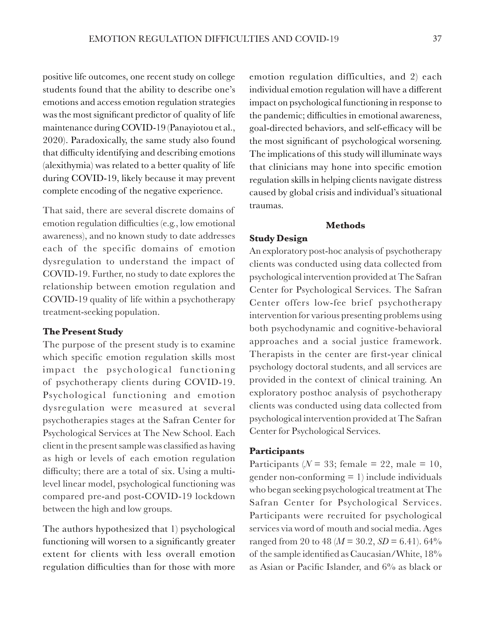positive life outcomes, one recent study on college students found that the ability to describe one's emotions and access emotion regulation strategies was the most significant predictor of quality of life maintenance during COVID-19 (Panayiotou et al., 2020). Paradoxically, the same study also found that difficulty identifying and describing emotions (alexithymia) was related to a better quality of life during COVID-19, likely because it may prevent complete encoding of the negative experience.

That said, there are several discrete domains of emotion regulation difficulties (e.g., low emotional awareness), and no known study to date addresses each of the specific domains of emotion dysregulation to understand the impact of COVID-19. Further, no study to date explores the relationship between emotion regulation and COVID-19 quality of life within a psychotherapy treatment-seeking population.

### **The Present Study**

The purpose of the present study is to examine which specific emotion regulation skills most impact the psychological functioning of psychotherapy clients during COVID-19. Psychological functioning and emotion dysregulation were measured at several psychotherapies stages at the Safran Center for Psychological Services at The New School. Each client in the present sample was classified as having as high or levels of each emotion regulation difficulty; there are a total of six. Using a multilevel linear model, psychological functioning was compared pre-and post-COVID-19 lockdown between the high and low groups.

The authors hypothesized that 1) psychological functioning will worsen to a significantly greater extent for clients with less overall emotion regulation difficulties than for those with more

emotion regulation difficulties, and 2) each individual emotion regulation will have a different impact on psychological functioning in response to the pandemic; difficulties in emotional awareness, goal-directed behaviors, and self-efficacy will be the most significant of psychological worsening. The implications of this study will illuminate ways that clinicians may hone into specific emotion regulation skills in helping clients navigate distress caused by global crisis and individual's situational traumas.

#### **Methods**

#### **Study Design**

An exploratory post-hoc analysis of psychotherapy clients was conducted using data collected from psychological intervention provided at The Safran Center for Psychological Services. The Safran Center offers low-fee brief psychotherapy intervention for various presenting problems using both psychodynamic and cognitive-behavioral approaches and a social justice framework. Therapists in the center are first-year clinical psychology doctoral students, and all services are provided in the context of clinical training. An exploratory posthoc analysis of psychotherapy clients was conducted using data collected from psychological intervention provided at The Safran Center for Psychological Services.

#### **Participants**

Participants ( $N = 33$ ; female = 22, male = 10, gender non-conforming = 1) include individuals who began seeking psychological treatment at The Safran Center for Psychological Services. Participants were recruited for psychological services via word of mouth and social media. Ages ranged from 20 to 48 ( $M = 30.2$ ,  $SD = 6.41$ ). 64% of the sample identified as Caucasian/White, 18% as Asian or Pacific Islander, and 6% as black or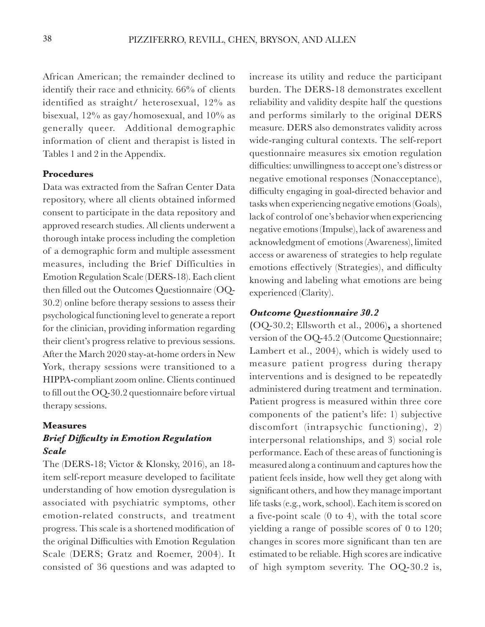African American; the remainder declined to identify their race and ethnicity. 66% of clients identified as straight/ heterosexual, 12% as bisexual, 12% as gay/homosexual, and 10% as generally queer. Additional demographic information of client and therapist is listed in Tables 1 and 2 in the Appendix.

### **Procedures**

Data was extracted from the Safran Center Data repository, where all clients obtained informed consent to participate in the data repository and approved research studies. All clients underwent a thorough intake process including the completion of a demographic form and multiple assessment measures, including the Brief Difficulties in Emotion Regulation Scale (DERS-18). Each client then filled out the Outcomes Questionnaire (OQ-30.2) online before therapy sessions to assess their psychological functioning level to generate a report for the clinician, providing information regarding their client's progress relative to previous sessions. After the March 2020 stay-at-home orders in New York, therapy sessions were transitioned to a HIPPA-compliant zoom online. Clients continued to fill out the OQ-30.2 questionnaire before virtual therapy sessions.

#### **Measures**

## *Brief Difficulty in Emotion Regulation Scale*

The (DERS-18; Victor & Klonsky, 2016), an 18 item self-report measure developed to facilitate understanding of how emotion dysregulation is associated with psychiatric symptoms, other emotion-related constructs, and treatment progress. This scale is a shortened modification of the original Difficulties with Emotion Regulation Scale (DERS; Gratz and Roemer, 2004). It consisted of 36 questions and was adapted to

increase its utility and reduce the participant burden. The DERS-18 demonstrates excellent reliability and validity despite half the questions and performs similarly to the original DERS measure. DERS also demonstrates validity across wide-ranging cultural contexts. The self-report questionnaire measures six emotion regulation difficulties: unwillingness to accept one's distress or negative emotional responses (Nonacceptance), difficulty engaging in goal-directed behavior and tasks when experiencing negative emotions (Goals), lack of control of one's behavior when experiencing negative emotions (Impulse), lack of awareness and acknowledgment of emotions (Awareness), limited access or awareness of strategies to help regulate emotions effectively (Strategies), and difficulty knowing and labeling what emotions are being experienced (Clarity).

## *Outcome Questionnaire 30.2*

**(**OQ-30.2; Ellsworth et al., 2006)**,** a shortened version of the OQ-45.2 (Outcome Questionnaire; Lambert et al., 2004), which is widely used to measure patient progress during therapy interventions and is designed to be repeatedly administered during treatment and termination. Patient progress is measured within three core components of the patient's life: 1) subjective discomfort (intrapsychic functioning), 2) interpersonal relationships, and 3) social role performance. Each of these areas of functioning is measured along a continuum and captures how the patient feels inside, how well they get along with significant others, and how they manage important life tasks (e.g., work, school). Each item is scored on a five-point scale (0 to 4), with the total score yielding a range of possible scores of 0 to 120; changes in scores more significant than ten are estimated to be reliable. High scores are indicative of high symptom severity. The OQ-30.2 is,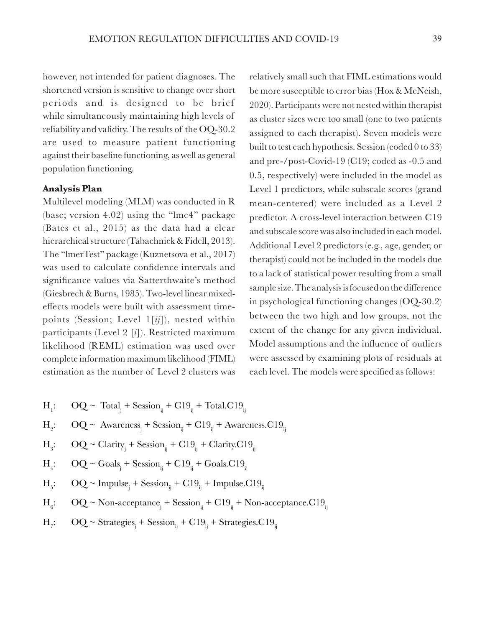however, not intended for patient diagnoses. The shortened version is sensitive to change over short periods and is designed to be brief while simultaneously maintaining high levels of reliability and validity. The results of the OQ-30.2 are used to measure patient functioning against their baseline functioning, as well as general population functioning.

### **Analysis Plan**

Multilevel modeling (MLM) was conducted in R (base; version 4.02) using the "lme4" package (Bates et al., 2015) as the data had a clear hierarchical structure (Tabachnick & Fidell, 2013). The "lmerTest" package (Kuznetsova et al., 2017) was used to calculate confidence intervals and significance values via Satterthwaite's method (Giesbrech & Burns, 1985). Two-level linear mixedeffects models were built with assessment timepoints (Session; Level 1[*ij*]), nested within participants (Level 2 [*i*]). Restricted maximum likelihood (REML) estimation was used over complete information maximum likelihood (FIML) estimation as the number of Level 2 clusters was

- $H_{1}$ : :  $OQ \sim \text{Total}_{j} + \text{Session}_{ij} + Cl9_{ij} + \text{Total}.Cl9_{ij}$
- $H_{0}$ : : OQ ~ Awareness<sub>j</sub> + Session<sub>ij</sub> + C19<sub>ij</sub> + Awareness.C19<sub>ij</sub>
- $H_{\circ}$ : :  $OQ \sim \text{Clarity}_{j} + \text{Session}_{ij} + C19_{ij} + \text{Clarity}.C19_{ij}$
- $H_i$ : :  $OQ \sim \text{Goals}_{j} + \text{Session}_{ij} + Cl9_{ij} + \text{Goals.C19}_{ij}$
- $H_{\varepsilon}$ : :  $OQ \sim \text{Impulse}_{j} + \text{Session}_{ij} + Cl9_{ij} + \text{Impulse}.Cl9_{ij}$
- $H_c$ : :  $OQ \sim \text{Non-acceptance}_j + \text{Session}_{ij} + Cl9_{ij} + \text{Non-acceptance}. Cl9_{ij}$
- $H_{\pi}$ : :  $OQ \sim \text{Strategies}_j + \text{Session}_{ij} + Cl9_{ij} + \text{Strategies}.Cl9_{ij}$

relatively small such that FIML estimations would be more susceptible to error bias (Hox & McNeish, 2020). Participants were not nested within therapist as cluster sizes were too small (one to two patients assigned to each therapist). Seven models were built to test each hypothesis. Session (coded 0 to 33) and pre-/post-Covid-19 (C19; coded as -0.5 and 0.5, respectively) were included in the model as Level 1 predictors, while subscale scores (grand mean-centered) were included as a Level 2 predictor. A cross-level interaction between C19 and subscale score was also included in each model. Additional Level 2 predictors (e.g., age, gender, or therapist) could not be included in the models due to a lack of statistical power resulting from a small sample size. The analysis is focused on the difference in psychological functioning changes (OQ-30.2) between the two high and low groups, not the extent of the change for any given individual. Model assumptions and the influence of outliers were assessed by examining plots of residuals at each level. The models were specified as follows: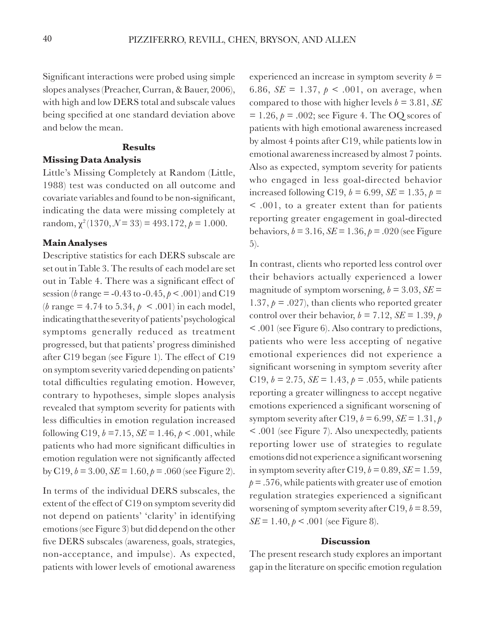Significant interactions were probed using simple slopes analyses (Preacher, Curran, & Bauer, 2006), with high and low DERS total and subscale values being specified at one standard deviation above and below the mean.

#### **Results**

## **Missing Data Analysis**

Little's Missing Completely at Random (Little, 1988) test was conducted on all outcome and covariate variables and found to be non-significant, indicating the data were missing completely at random,  $\chi^2(1370, \mathcal{N}=33) = 493.172, \rho = 1.000$ .

#### **Main Analyses**

Descriptive statistics for each DERS subscale are set out in Table 3. The results of each model are set out in Table 4. There was a significant effect of session (*b* range = -0.43 to -0.45, *p* < .001) and C19  $(b \text{ range} = 4.74 \text{ to } 5.34, p \le .001)$  in each model, indicating that the severity of patients' psychological symptoms generally reduced as treatment progressed, but that patients' progress diminished after C19 began (see Figure 1). The effect of C19 on symptom severity varied depending on patients' total difficulties regulating emotion. However, contrary to hypotheses, simple slopes analysis revealed that symptom severity for patients with less difficulties in emotion regulation increased following C19,  $b = 7.15$ ,  $SE = 1.46$ ,  $p < .001$ , while patients who had more significant difficulties in emotion regulation were not significantly affected by C19,  $b = 3.00$ ,  $SE = 1.60$ ,  $p = .060$  (see Figure 2).

In terms of the individual DERS subscales, the extent of the effect of C19 on symptom severity did not depend on patients' 'clarity' in identifying emotions (see Figure 3) but did depend on the other five DERS subscales (awareness, goals, strategies, non-acceptance, and impulse). As expected, patients with lower levels of emotional awareness

experienced an increase in symptom severity  $b =$ 6.86,  $SE = 1.37$ ,  $p < .001$ , on average, when compared to those with higher levels  $b = 3.81$ , *SE*  $= 1.26$ ,  $p = .002$ ; see Figure 4. The OQ scores of patients with high emotional awareness increased by almost 4 points after C19, while patients low in emotional awareness increased by almost 7 points. Also as expected, symptom severity for patients who engaged in less goal-directed behavior increased following C19,  $b = 6.99$ ,  $SE = 1.35$ ,  $p =$ < .001, to a greater extent than for patients reporting greater engagement in goal-directed behaviors,  $b = 3.16$ ,  $SE = 1.36$ ,  $p = .020$  (see Figure 5).

In contrast, clients who reported less control over their behaviors actually experienced a lower magnitude of symptom worsening,  $b = 3.03$ ,  $SE =$ 1.37,  $p = .027$ ), than clients who reported greater control over their behavior,  $b = 7.12$ ,  $SE = 1.39$ ,  $p$ < .001 (see Figure 6). Also contrary to predictions, patients who were less accepting of negative emotional experiences did not experience a significant worsening in symptom severity after C19,  $b = 2.75$ ,  $SE = 1.43$ ,  $p = .055$ , while patients reporting a greater willingness to accept negative emotions experienced a significant worsening of symptom severity after C19,  $b = 6.99$ ,  $SE = 1.31$ ,  $p$ < .001 (see Figure 7). Also unexpectedly, patients reporting lower use of strategies to regulate emotions did not experience a significant worsening in symptom severity after C19,  $b = 0.89$ ,  $SE = 1.59$ ,  $p = .576$ , while patients with greater use of emotion regulation strategies experienced a significant worsening of symptom severity after C19,  $b = 8.59$ , *SE* = 1.40,  $p < .001$  (see Figure 8).

#### **Discussion**

The present research study explores an important gap in the literature on specific emotion regulation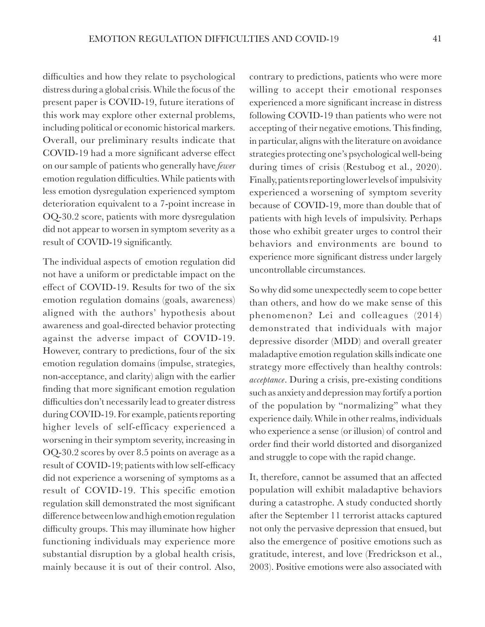difficulties and how they relate to psychological distress during a global crisis. While the focus of the present paper is COVID-19, future iterations of this work may explore other external problems, including political or economic historical markers. Overall, our preliminary results indicate that COVID-19 had a more significant adverse effect on our sample of patients who generally have *fewer* emotion regulation difficulties. While patients with less emotion dysregulation experienced symptom deterioration equivalent to a 7-point increase in OQ-30.2 score, patients with more dysregulation did not appear to worsen in symptom severity as a result of COVID-19 significantly.

The individual aspects of emotion regulation did not have a uniform or predictable impact on the effect of COVID-19. Results for two of the six emotion regulation domains (goals, awareness) aligned with the authors' hypothesis about awareness and goal-directed behavior protecting against the adverse impact of COVID-19. However, contrary to predictions, four of the six emotion regulation domains (impulse, strategies, non-acceptance, and clarity) align with the earlier finding that more significant emotion regulation difficulties don't necessarily lead to greater distress during COVID-19. For example, patients reporting higher levels of self-efficacy experienced a worsening in their symptom severity, increasing in OQ-30.2 scores by over 8.5 points on average as a result of COVID-19; patients with low self-efficacy did not experience a worsening of symptoms as a result of COVID-19. This specific emotion regulation skill demonstrated the most significant difference between low and high emotion regulation difficulty groups. This may illuminate how higher functioning individuals may experience more substantial disruption by a global health crisis, mainly because it is out of their control. Also,

contrary to predictions, patients who were more willing to accept their emotional responses experienced a more significant increase in distress following COVID-19 than patients who were not accepting of their negative emotions. This finding, in particular, aligns with the literature on avoidance strategies protecting one's psychological well-being during times of crisis (Restubog et al., 2020). Finally, patients reporting lower levels of impulsivity experienced a worsening of symptom severity because of COVID-19, more than double that of patients with high levels of impulsivity. Perhaps those who exhibit greater urges to control their behaviors and environments are bound to experience more significant distress under largely uncontrollable circumstances.

So why did some unexpectedly seem to cope better than others, and how do we make sense of this phenomenon? Lei and colleagues (2014) demonstrated that individuals with major depressive disorder (MDD) and overall greater maladaptive emotion regulation skills indicate one strategy more effectively than healthy controls: *acceptance*. During a crisis, pre-existing conditions such as anxiety and depression may fortify a portion of the population by "normalizing" what they experience daily. While in other realms, individuals who experience a sense (or illusion) of control and order find their world distorted and disorganized and struggle to cope with the rapid change.

It, therefore, cannot be assumed that an affected population will exhibit maladaptive behaviors during a catastrophe. A study conducted shortly after the September 11 terrorist attacks captured not only the pervasive depression that ensued, but also the emergence of positive emotions such as gratitude, interest, and love (Fredrickson et al., 2003). Positive emotions were also associated with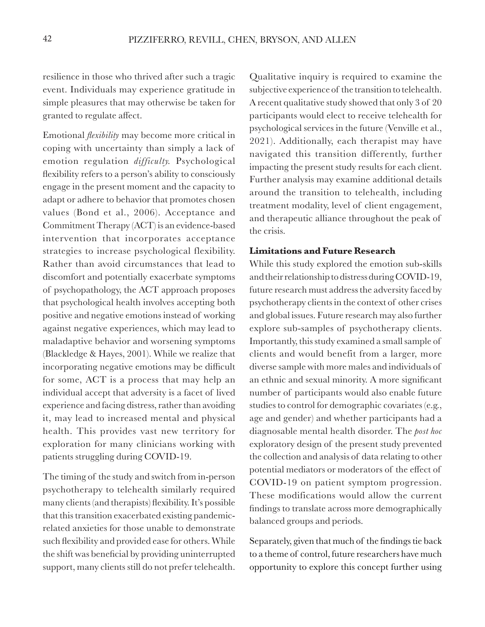resilience in those who thrived after such a tragic event. Individuals may experience gratitude in simple pleasures that may otherwise be taken for granted to regulate affect.

Emotional *flexibility* may become more critical in coping with uncertainty than simply a lack of emotion regulation *difficulty.* Psychological flexibility refers to a person's ability to consciously engage in the present moment and the capacity to adapt or adhere to behavior that promotes chosen values (Bond et al., 2006). Acceptance and Commitment Therapy (ACT) is an evidence-based intervention that incorporates acceptance strategies to increase psychological flexibility. Rather than avoid circumstances that lead to discomfort and potentially exacerbate symptoms of psychopathology, the ACT approach proposes that psychological health involves accepting both positive and negative emotions instead of working against negative experiences, which may lead to maladaptive behavior and worsening symptoms (Blackledge & Hayes, 2001). While we realize that incorporating negative emotions may be difficult for some, ACT is a process that may help an individual accept that adversity is a facet of lived experience and facing distress, rather than avoiding it, may lead to increased mental and physical health. This provides vast new territory for exploration for many clinicians working with patients struggling during COVID-19.

The timing of the study and switch from in-person psychotherapy to telehealth similarly required many clients (and therapists) flexibility. It's possible that this transition exacerbated existing pandemicrelated anxieties for those unable to demonstrate such flexibility and provided ease for others. While the shift was beneficial by providing uninterrupted support, many clients still do not prefer telehealth.

Qualitative inquiry is required to examine the subjective experience of the transition to telehealth. A recent qualitative study showed that only 3 of 20 participants would elect to receive telehealth for psychological services in the future (Venville et al., 2021). Additionally, each therapist may have navigated this transition differently, further impacting the present study results for each client. Further analysis may examine additional details around the transition to telehealth, including treatment modality, level of client engagement, and therapeutic alliance throughout the peak of the crisis.

## **Limitations and Future Research**

While this study explored the emotion sub-skills and their relationship to distress during COVID-19, future research must address the adversity faced by psychotherapy clients in the context of other crises and global issues. Future research may also further explore sub-samples of psychotherapy clients. Importantly, this study examined a small sample of clients and would benefit from a larger, more diverse sample with more males and individuals of an ethnic and sexual minority. A more significant number of participants would also enable future studies to control for demographic covariates (e.g., age and gender) and whether participants had a diagnosable mental health disorder. The *post hoc* exploratory design of the present study prevented the collection and analysis of data relating to other potential mediators or moderators of the effect of COVID-19 on patient symptom progression. These modifications would allow the current findings to translate across more demographically balanced groups and periods.

Separately, given that much of the findings tie back to a theme of control, future researchers have much opportunity to explore this concept further using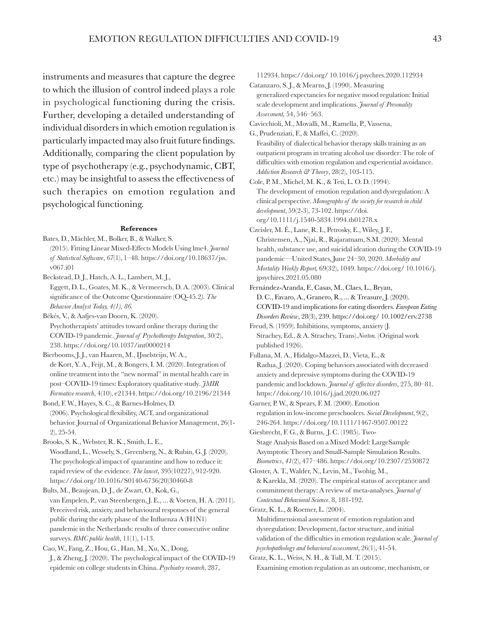instruments and measures that capture the degree to which the illusion of control indeed plays a role in psychological functioning during the crisis. Further, developing a detailed understanding of individual disorders in which emotion regulation is particularly impacted may also fruit future findings. Additionally, comparing the client population by type of psychotherapy (e.g., psychodynamic, CBT, etc.) may be insightful to assess the effectiveness of such therapies on emotion regulation and psychological functioning.

#### **References**

- Bates, D., Mächler, M., Bolker, B., & Walker, S. (2015). Fitting Linear Mixed-Effects Models Using lme4. *Journal of Statistical Software*, *67*(1), 1–48. https://doi.org/10.18637/jss. v067.i01
- Beckstead, D. J., Hatch, A. L., Lambert, M. J., Eggett, D. L., Goates, M. K., & Vermeersch, D. A. (2003). Clinical significance of the Outcome Questionnaire (OQ-45.2*). The Behavior Analyst Today, 4(1), 86.*
- Békés, V., & Aafjes-van Doorn, K. (2020). Psychotherapists' attitudes toward online therapy during the COVID-19 pandemic. *Journal of Psychotherapy Integration*, 30(2), 238. https://doi.org/10.1037/int0000214
- Bierbooms, J. J., van Haaren, M., IJsselsteijn, W. A., de Kort, Y. A., Feijt, M., & Bongers, I. M. (2020). Integration of online treatment into the "new normal" in mental health care in post–COVID-19 times: Exploratory qualitative study*. JMIR Formative research*, 4(10), e21344. https://doi.org/10.2196/21344
- Bond, F. W., Hayes, S. C., & Barnes-Holmes, D. (2006). Psychological flexibility, ACT, and organizational behavior. Journal of Organizational Behavior Management, 26(1- 2), 25-54.

Brooks, S. K., Webster, R. K., Smith, L. E.,

- Woodland, L., Wessely, S., Greenberg, N., & Rubin, G. J. (2020). The psychological impact of quarantine and how to reduce it: rapid review of the evidence. *The lancet*, 395(10227), 912-920. https://doi.org/10.1016/S0140-6736(20)30460-8
- Bults, M., Beaujean, D. J., de Zwart, O., Kok, G., van Empelen, P., van Steenbergen, J. E., ... & Voeten, H. A. (2011). Perceived risk, anxiety, and behavioural responses of the general public during the early phase of the Influenza A (H1N1) pandemic in the Netherlands: results of three consecutive online surveys. *BMC public health*, 11(1), 1-13.
- Cao, W., Fang, Z., Hou, G., Han, M., Xu, X., Dong, J., & Zheng, J. (2020). The psychological impact of the COVID-19 epidemic on college students in China. *Psychiatry research*, 287,

112934. https://doi.org/ 10.1016/j.psychres.2020.112934 Catanzaro, S. J., & Mearns, J. (1990). Measuring

- generalized expectancies for negative mood regulation: Initial scale development and implications. *Journal of Personality Assessment,* 54, 546–563.
- Cavicchioli, M., Movalli, M., Ramella, P., Vassena,
- G., Prudenziati, F., & Maffei, C. (2020). Feasibility of dialectical behavior therapy skills training as an outpatient program in treating alcohol use disorder: The role of difficulties with emotion regulation and experiential avoidance. *Addiction Research & Theory*, 28(2), 103-115.
- Cole, P. M., Michel, M. K., & Teti, L. O. D. (1994). The development of emotion regulation and dysregulation: A clinical perspective. *Monographs of the society for research in child development*, 59(2-3), 73-102. https://doi. org/10.1111/j.1540-5834.1994.tb01278.x
- Czeisler, M. É., Lane, R. I., Petrosky, E., Wiley, J. F., Christensen, A., Njai, R., Rajaratnam, S.M. (2020). Mental health, substance use, and suicidal ideation during the COVID-19 pandemic—United States, June 24–30, 2020. *Morbidity and Mortality Weekly Report,* 69(32), 1049. https://doi.org/ 10.1016/j. jpsychires.2021.05.080
- Fernández-Aranda, F., Casas, M., Claes, L., Bryan, D. C., Favaro, A., Granero, R., ... & Treasure, J. (2020). COVID-19 and implications for eating disorders. *European Eating Disorders Review*, 28(3), 239. https://doi.org/ 10.1002/erv.2738
- Freud, S. (1959). Inhibitions, symptoms, anxiety (J. Strachey, Ed., & A. Strachey, Trans).*Norton.* (Original work published 1926).
- Fullana, M. A., Hidalgo-Mazzei, D., Vieta, E., & Radua, J. (2020). Coping behaviors associated with decreased anxiety and depressive symptoms during the COVID-19 pandemic and lockdown. *Journal of affective disorders*, 275, 80–81. https://doi.org/10.1016/j.jad.2020.06.027
- Garner, P. W., & Spears, F. M. (2000). Emotion regulation in low‐income preschoolers. *Social Development*, 9(2), 246-264. https://doi.org/10.1111/1467-9507.00122
- Giesbrecht, F. G., & Burns, J. C. (1985). Two-Stage Analysis Based on a Mixed Model: LargeSample Asymptotic Theory and Small-Sample Simulation Results. *Biometrics*, *41*(2), 477–486. https://doi.org/10.2307/2530872
- Gloster, A. T., Walder, N., Levin, M., Twohig, M., & Karekla, M. (2020). The empirical status of acceptance and commitment therapy: A review of meta-analyses. *Journal of Contextual Behavioral Science*. 8, 181-192.

Gratz, K. L., & Roemer, L. (2004). Multidimensional assessment of emotion regulation and dysregulation: Development, factor structure, and initial validation of the difficulties in emotion regulation scale. *Journal of psychopathology and behavioral assessment*, 26(1), 41-54.

Gratz, K. L., Weiss, N. H., & Tull, M. T. (2015). Examining emotion regulation as an outcome, mechanism, or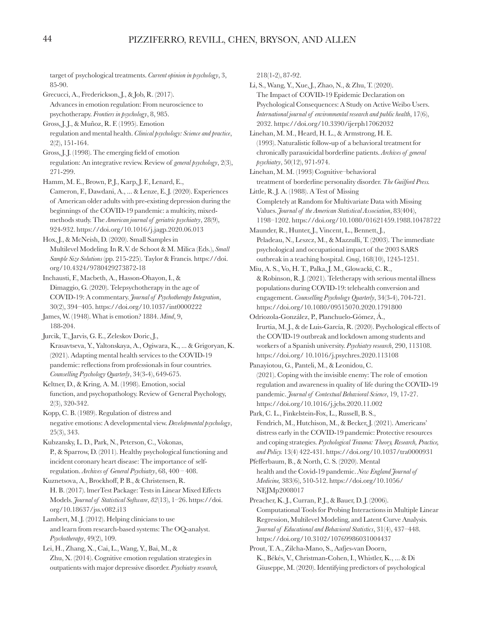target of psychological treatments. *Current opinion in psychology*, 3, 85-90.

Grecucci, A., Frederickson, J., & Job, R. (2017). Advances in emotion regulation: From neuroscience to psychotherapy. *Frontiers in psychology*, 8, 985.

Gross, J. J., & Muñoz, R. F. (1995). Emotion regulation and mental health. *Clinical psychology: Science and practice*, 2(2), 151-164.

Gross, J. J. (1998). The emerging field of emotion regulation: An integrative review. Review of *general psychology*, 2(3), 271-299.

Hamm, M. E., Brown, P.J., Karp, J. F., Lenard, E., Cameron, F., Dawdani, A., ... & Lenze, E. J. (2020). Experiences of American older adults with pre-existing depression during the beginnings of the COVID-19 pandemic: a multicity, mixedmethods study. The *American journal of geriatric psychiatry*, 28(9), 924-932. https://doi.org/10.1016/j.jagp.2020.06.013

Hox, J., & McNeish, D. (2020). Small Samples in Multilevel Modeling. In R.V. de Schoot & M. Milica (Eds.), *Small Sample Size Solutions* (pp. 215-225). Taylor & Francis. https://doi. org/10.4324/9780429273872-18

Inchausti, F., Macbeth, A., Hasson-Ohayon, I., & Dimaggio, G. (2020). Telepsychotherapy in the age of COVID-19: A commentary. *Journal of Psychotherapy Integration*, 30(2), 394–405. https://doi.org/10.1037/int0000222

James, W. (1948). What is emotion? 1884. *Mind*, 9, 188-204.

Jurcik, T., Jarvis, G. E., Zeleskov Doric, J., Krasavtseva, Y., Yaltonskaya, A., Ogiwara, K., ... & Grigoryan, K. (2021). Adapting mental health services to the COVID-19 pandemic: reflections from professionals in four countries. *Counselling Psychology Quarterly*, 34(3-4), 649-675.

Keltner, D., & Kring, A. M. (1998). Emotion, social function, and psychopathology. Review of General Psychology, 2(3), 320-342.

Kopp, C. B. (1989). Regulation of distress and negative emotions: A developmental view. *Developmental psychology*, 25(3), 343.

Kubzansky, L. D., Park, N., Peterson, C., Vokonas, P., & Sparrow, D. (2011). Healthy psychological functioning and incident coronary heart disease: The importance of selfregulation. *Archives of General Psychiatry*, 68, 400 – 408.

Kuznetsova, A., Brockhoff, P. B., & Christensen, R. H. B. (2017). lmerTest Package: Tests in Linear Mixed Effects Models. *Journal of Statistical Software*, *82*(13), 1–26. https://doi. org/10.18637/jss.v082.i13

Lambert, M. J. (2012). Helping clinicians to use and learn from research-based systems: The OQ-analyst. *Psychotherapy*, 49(2), 109.

Lei, H., Zhang, X., Cai, L., Wang, Y., Bai, M., & Zhu, X. (2014). Cognitive emotion regulation strategies in outpatients with major depressive disorder. *Psychiatry research,* 218(1-2), 87-92.

Li, S., Wang, Y., Xue, J., Zhao, N., & Zhu, T. (2020). The Impact of COVID-19 Epidemic Declaration on Psychological Consequences: A Study on Active Weibo Users. *International journal of environmental research and public health*, 17(6), 2032. https://doi.org/10.3390/ijerph17062032

Linehan, M. M., Heard, H. L., & Armstrong, H. E. (1993). Naturalistic follow-up of a behavioral treatment for chronically parasuicidal borderline patients. *Archives of general psychiatry*, 50(12), 971-974.

Linehan, M. M. (1993) Cognitive–behavioral treatment of borderline personality disorder. *The Guilford Press.*

Little, R. J. A. (1988). A Test of Missing

Completely at Random for Multivariate Data with Missing Values. *Journal of the American Statistical Association*, 83(404), 1198–1202. https://doi.org/10.1080/01621459.1988.10478722

Maunder, R., Hunter, J., Vincent, L., Bennett, J., Peladeau, N., Leszcz, M., & Mazzulli, T. (2003). The immediate psychological and occupational impact of the 2003 SARS outbreak in a teaching hospital. *Cmaj*, 168(10), 1245-1251.

Miu, A. S., Vo, H. T., Palka, J. M., Glowacki, C. R., & Robinson, R. J. (2021). Teletherapy with serious mental illness populations during COVID-19: telehealth conversion and engagement. *Counselling Psychology Quarterly*, 34(3-4), 704-721. https://doi.org/10.1080/09515070.2020.1791800

Odriozola-González, P., Planchuelo-Gómez, Á., Irurtia, M. J., & de Luis-García, R. (2020). Psychological effects of the COVID-19 outbreak and lockdown among students and workers of a Spanish university. *Psychiatry research*, 290, 113108. https://doi.org/ 10.1016/j.psychres.2020.113108

Panayiotou, G., Panteli, M., & Leonidou, C. (2021). Coping with the invisible enemy: The role of emotion regulation and awareness in quality of life during the COVID-19 pandemic. *Journal of Contextual Behavioral Science*, 19, 17-27. https://doi.org/10.1016/j.jcbs.2020.11.002

Park, C. L., Finkelstein-Fox, L., Russell, B. S., Fendrich, M., Hutchison, M., & Becker, J. (2021). Americans' distress early in the COVID-19 pandemic: Protective resources and coping strategies. *Psychological Trauma: Theory, Research, Practice, and Policy.* 13(4) 422-431. https://doi.org/10.1037/tra0000931

Pfefferbaum, B., & North, C. S. (2020). Mental health and the Covid-19 pandemic. *New England Journal of Medicine,* 383(6), 510-512. https://doi.org/10.1056/ NEJMp2008017

Preacher, K. J., Curran, P. J., & Bauer, D. J. (2006). Computational Tools for Probing Interactions in Multiple Linear Regression, Multilevel Modeling, and Latent Curve Analysis. *Journal of Educational and Behavioral Statistics*, 31(4), 437–448. https://doi.org/10.3102/10769986031004437

Prout, T. A., Zilcha-Mano, S., Aafjes-van Doorn, K., Békés, V., Christman-Cohen, I., Whistler, K., ... & Di Giuseppe, M. (2020). Identifying predictors of psychological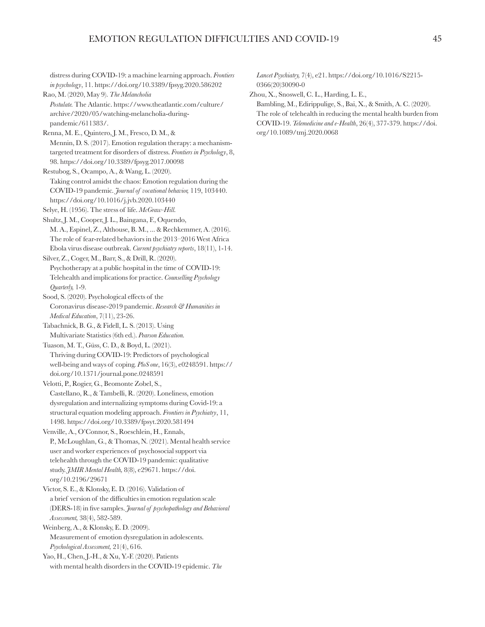distress during COVID-19: a machine learning approach. *Frontiers in psychology*, 11. https://doi.org/10.3389/fpsyg.2020.586202

Rao, M. (2020, May 9). *The Melancholia Postulate.* The Atlantic. https://www.theatlantic.com/culture/ archive/2020/05/watching-melancholia-duringpandemic/611383/.

Renna, M. E., Quintero, J. M., Fresco, D. M., & Mennin, D. S. (2017). Emotion regulation therapy: a mechanismtargeted treatment for disorders of distress. *Frontiers in Psychology*, 8, 98. https://doi.org/10.3389/fpsyg.2017.00098

Restubog, S., Ocampo, A., & Wang, L. (2020). Taking control amidst the chaos: Emotion regulation during the COVID-19 pandemic*. Journal of vocational behavior,* 119, 103440. https://doi.org/10.1016/j.jvb.2020.103440

Selye, H. (1956). The stress of life. *McGraw-Hill.*

Shultz, J. M., Cooper, J. L., Baingana, F., Oquendo, M. A., Espinel, Z., Althouse, B. M., ... & Rechkemmer, A. (2016). The role of fear-related behaviors in the 2013–2016 West Africa Ebola virus disease outbreak. *Current psychiatry reports*, 18(11), 1-14.

Silver, Z., Coger, M., Barr, S., & Drill, R. (2020). Psychotherapy at a public hospital in the time of COVID-19: Telehealth and implications for practice. *Counselling Psychology Quarterly,* 1-9.

Sood, S. (2020). Psychological effects of the Coronavirus disease-2019 pandemic. *Research & Humanities in Medical Education*, 7(11), 23-26.

Tabachnick, B. G., & Fidell, L. S. (2013). Using Multivariate Statistics (6th ed.). *Pearson Education.*

Tuason, M. T., Güss, C. D., & Boyd, L. (2021). Thriving during COVID-19: Predictors of psychological well-being and ways of coping. *PloS one*, 16(3), e0248591. https:// doi.org/10.1371/journal.pone.0248591

Velotti, P., Rogier, G., Beomonte Zobel, S., Castellano, R., & Tambelli, R. (2020). Loneliness, emotion dysregulation and internalizing symptoms during Covid-19: a structural equation modeling approach. *Frontiers in Psychiatry*, 11, 1498. https://doi.org/10.3389/fpsyt.2020.581494

Venville, A., O'Connor, S., Roeschlein, H., Ennals, P., McLoughlan, G., & Thomas, N. (2021). Mental health service user and worker experiences of psychosocial support via telehealth through the COVID-19 pandemic: qualitative study. *JMIR Mental Health,* 8(8), e29671. https://doi. org/10.2196/29671

Victor, S. E., & Klonsky, E. D. (2016). Validation of a brief version of the difficulties in emotion regulation scale (DERS-18) in five samples. *Journal of psychopathology and Behavioral Assessment,* 38(4), 582-589.

Weinberg, A., & Klonsky, E. D. (2009). Measurement of emotion dysregulation in adolescents. *Psychological Assessment,* 21(4), 616.

Yao, H., Chen, J.-H., & Xu, Y.-F. (2020). Patients with mental health disorders in the COVID-19 epidemic. *The* 

*Lancet Psychiatry,* 7(4), e21. https://doi.org/10.1016/S2215- 0366(20)30090-0

Zhou, X., Snoswell, C. L., Harding, L. E., Bambling, M., Edirippulige, S., Bai, X., & Smith, A. C. (2020). The role of telehealth in reducing the mental health burden from COVID-19. *Telemedicine and e-Health*, 26(4), 377-379. https://doi.

org/10.1089/tmj.2020.0068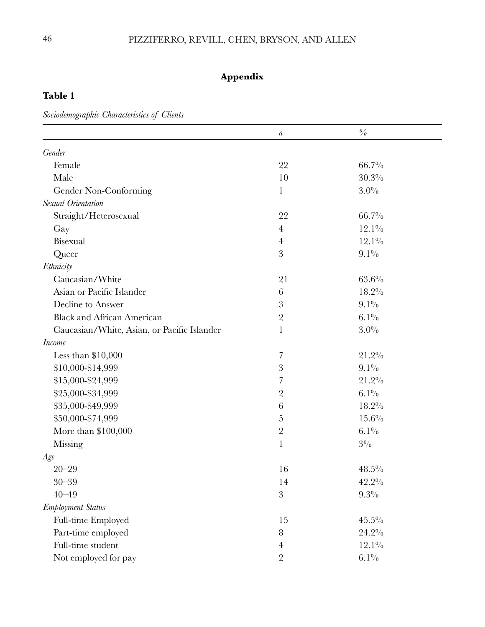# **Appendix**

## **Table 1**

*Sociodemographic Characteristics of Clients*

|                                             | $\boldsymbol{n}$ | $\frac{\partial}{\partial \rho}$ |
|---------------------------------------------|------------------|----------------------------------|
| Gender                                      |                  |                                  |
| Female                                      | 22               | 66.7%                            |
| Male                                        | 10               | 30.3%                            |
| Gender Non-Conforming                       | $\mathbf{1}$     | $3.0\%$                          |
| Sexual Orientation                          |                  |                                  |
| Straight/Heterosexual                       | 22               | 66.7%                            |
| Gay                                         | $\overline{4}$   | $12.1\%$                         |
| Bisexual                                    | $\overline{4}$   | $12.1\%$                         |
| Queer                                       | 3                | $9.1\%$                          |
| Ethnicity                                   |                  |                                  |
| Caucasian/White                             | 21               | $63.6\%$                         |
| Asian or Pacific Islander                   | 6                | $18.2\%$                         |
| Decline to Answer                           | $\overline{3}$   | $9.1\%$                          |
| <b>Black and African American</b>           | $\overline{2}$   | $6.1\%$                          |
| Caucasian/White, Asian, or Pacific Islander | $\mathbf{1}$     | $3.0\%$                          |
| <b>Income</b>                               |                  |                                  |
| Less than $$10,000$                         | 7                | 21.2%                            |
| \$10,000-\$14,999                           | $\mathfrak{B}$   | $9.1\%$                          |
| \$15,000-\$24,999                           | 7                | 21.2%                            |
| \$25,000-\$34,999                           | $\overline{2}$   | $6.1\%$                          |
| \$35,000-\$49,999                           | 6                | $18.2\%$                         |
| \$50,000-\$74,999                           | $\overline{5}$   | 15.6%                            |
| More than $$100,000$                        | $\sqrt{2}$       | $6.1\%$                          |
| <b>Missing</b>                              | $\mathbf{1}$     | $3\%$                            |
| Age                                         |                  |                                  |
| $20 - 29$                                   | 16               | $48.5\%$                         |
| $30 - 39$                                   | 14               | $42.2\%$                         |
| $40 - 49$                                   | 3                | $9.3\%$                          |
| <b>Employment Status</b>                    |                  |                                  |
| Full-time Employed                          | 15               | $45.5\%$                         |
| Part-time employed                          | 8                | 24.2%                            |
| Full-time student                           | $\overline{4}$   | $12.1\%$                         |
| Not employed for pay                        | $\overline{2}$   | $6.1\%$                          |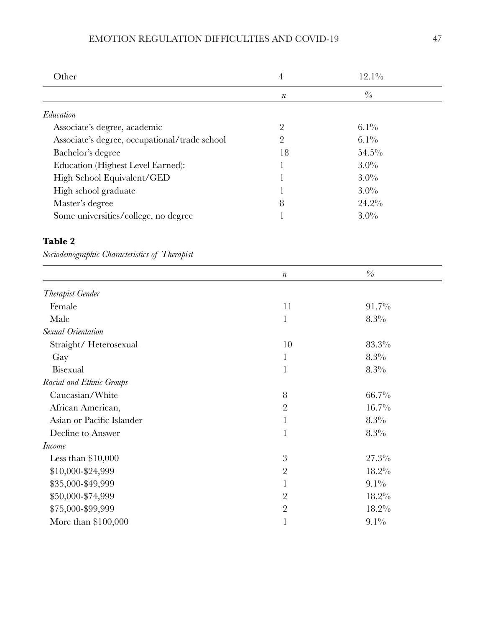## EMOTION REGULATION DIFFICULTIES AND COVID-19 47

| Other                                         | $\overline{4}$   | $12.1\%$      |  |
|-----------------------------------------------|------------------|---------------|--|
|                                               | $\boldsymbol{n}$ | $\frac{0}{0}$ |  |
| Education                                     |                  |               |  |
| Associate's degree, academic                  | $\overline{2}$   | $6.1\%$       |  |
| Associate's degree, occupational/trade school | 2                | $6.1\%$       |  |
| Bachelor's degree                             | 18               | $54.5\%$      |  |
| Education (Highest Level Earned):             |                  | $3.0\%$       |  |
| High School Equivalent/GED                    |                  | $3.0\%$       |  |
| High school graduate                          |                  | $3.0\%$       |  |
| Master's degree                               | 8                | $24.2\%$      |  |
| Some universities/college, no degree          |                  | $3.0\%$       |  |

## **Table 2**

*Sociodemographic Characteristics of Therapist* 

|                           | $\boldsymbol{n}$ | $\frac{o}{o}$ |
|---------------------------|------------------|---------------|
| Therapist Gender          |                  |               |
| Female                    | 11               | $91.7\%$      |
| Male                      | 1                | $8.3\%$       |
| Sexual Orientation        |                  |               |
| Straight/Heterosexual     | 10               | 83.3%         |
| Gay                       | 1                | $8.3\%$       |
| Bisexual                  | 1                | 8.3%          |
| Racial and Ethnic Groups  |                  |               |
| Caucasian/White           | 8                | $66.7\%$      |
| African American,         | $\overline{2}$   | $16.7\%$      |
| Asian or Pacific Islander | 1                | 8.3%          |
| Decline to Answer         | 1                | 8.3%          |
| <i>Income</i>             |                  |               |
| Less than $$10,000$       | 3                | $27.3\%$      |
| \$10,000-\$24,999         | $\overline{2}$   | 18.2%         |
| \$35,000-\$49,999         | 1                | $9.1\%$       |
| \$50,000-\$74,999         | $\overline{2}$   | $18.2\%$      |
| \$75,000-\$99,999         | $\overline{2}$   | 18.2%         |
| More than $$100,000$      |                  | $9.1\%$       |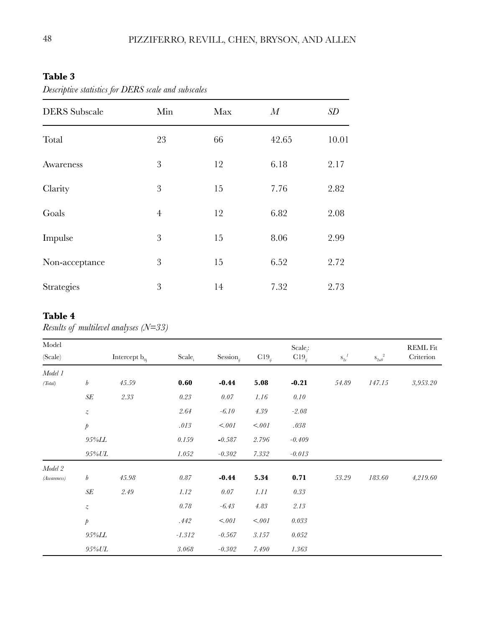## **Table 3**

| <b>DERS</b> Subscale | Min            | Max | M     | SD    |
|----------------------|----------------|-----|-------|-------|
|                      |                |     |       |       |
| Total                | 23             | 66  | 42.65 | 10.01 |
| Awareness            | 3              | 12  | 6.18  | 2.17  |
| Clarity              | 3              | 15  | 7.76  | 2.82  |
| Goals                | $\overline{4}$ | 12  | 6.82  | 2.08  |
| Impulse              | 3              | 15  | 8.06  | 2.99  |
| Non-acceptance       | 3              | 15  | 6.52  | 2.72  |
| <b>Strategies</b>    | 3              | 14  | 7.32  | 2.73  |

*Descriptive statistics for DERS scale and subscales*

## **Table 4**

*Results of multilevel analyses (N=33)*

| Model       |                  |                             |                    |                 |            | Scale:     |                       |                                                  | <b>REML Fit</b> |
|-------------|------------------|-----------------------------|--------------------|-----------------|------------|------------|-----------------------|--------------------------------------------------|-----------------|
| (Scale)     |                  | Intercept $\mathbf{b}_{0i}$ | Scale <sub>i</sub> | Session $_{ij}$ | $C19_{ij}$ | $C19_{ij}$ | $S_{2e}^{\  \  \, I}$ | $\mathbf{s}_{2u0}^{\phantom{12}}^{\phantom{12}}$ | Criterion       |
| Model 1     |                  |                             |                    |                 |            |            |                       |                                                  |                 |
| (Total)     | $\boldsymbol{b}$ | $\mathbf{45.59}$            | 0.60               | $-0.44$         | 5.08       | $-0.21$    | 54.89                 | 147.15                                           | 3,953.20        |
|             | $S\!E$           | 2.33                        | 0.23               | 0.07            | $1.16\,$   | $0.10\,$   |                       |                                                  |                 |
|             | $\boldsymbol{z}$ |                             | $2.64\,$           | $-6.10$         | $4.39\,$   | $-2.08$    |                       |                                                  |                 |
|             | $\rlap/p$        |                             | .013               | < 001           | < 001      | .038       |                       |                                                  |                 |
|             | $95\%LL$         |                             | 0.159              | $-0.587$        | 2.796      | $-0.409$   |                       |                                                  |                 |
|             | $95\%UL$         |                             | 1.052              | $-0.302$        | 7.332      | $-0.013$   |                       |                                                  |                 |
| Model 2     |                  |                             |                    |                 |            |            |                       |                                                  |                 |
| (Awareness) | $\boldsymbol{b}$ | $45.98\,$                   | 0.87               | $-0.44$         | 5.34       | 0.71       | 53.29                 | 183.60                                           | 4,219.60        |
|             | $S\!E$           | $2.49\,$                    | 1.12               | 0.07            | $1.11\,$   | $0.33\,$   |                       |                                                  |                 |
|             | $\boldsymbol{z}$ |                             | 0.78               | $-6.43$         | $4.83\,$   | 2.13       |                       |                                                  |                 |
|             | $\rlap/p$        |                             | .442               | < 001           | $<001$     | $0.033\,$  |                       |                                                  |                 |
|             | <i>95%LL</i>     |                             | $-1.312$           | $-0.567$        | 3.157      | 0.052      |                       |                                                  |                 |
|             | 95%UL            |                             | 3.068              | $-0.302$        | 7.490      | 1.363      |                       |                                                  |                 |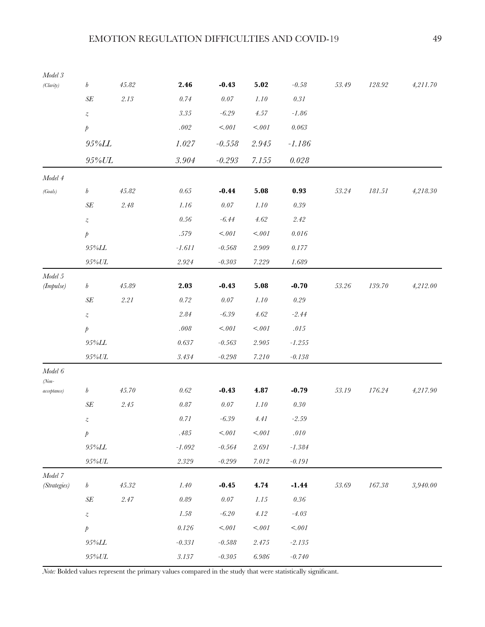| $Model\ 3$            |                  |                  |             |                   |           |                   |           |            |          |
|-----------------------|------------------|------------------|-------------|-------------------|-----------|-------------------|-----------|------------|----------|
| (Clarity)             | $\boldsymbol{b}$ | $45.82\,$        | 2.46        | $-0.43$           | 5.02      | $-0.58\,$         | $53.49\,$ | 128.92     | 4,211.70 |
|                       | $S\!E$           | 2.13             | $0.74\,$    | $0.07\,$          | $1.10$    | $0.31\,$          |           |            |          |
|                       | $\boldsymbol{z}$ |                  | $\it 3.35$  | $-6.29$           | 4.57      | $-1.86$           |           |            |          |
|                       | $\rlap/v$        |                  | $.002\,$    | $< 001$           | $<001$    | $\it 0.063$       |           |            |          |
|                       | $95\%LL$         |                  | 1.027       | $-0.558$          | 2.945     | $-1.186$          |           |            |          |
|                       | $95\% UL$        |                  | $\it 3.904$ | $-0.293$          | 7.155     | $0.028\,$         |           |            |          |
| Model 4               |                  |                  |             |                   |           |                   |           |            |          |
| (Goals)               | $\boldsymbol{b}$ | $45.82\,$        | $0.65\,$    | $-0.44$           | 5.08      | 0.93              | 53.24     | 181.51     | 4,218.30 |
|                       | $S\!E$           | 2.48             | $1.16\,$    | $0.07\,$          | $1.10\,$  | $0.39\,$          |           |            |          |
|                       | $\boldsymbol{z}$ |                  | $0.56\,$    | $-6.44$           | 4.62      | 2.42              |           |            |          |
|                       | $\rlap/p$        |                  | $.579\,$    | $<001$            | $<001$    | 0.016             |           |            |          |
|                       | $95\%LL$         |                  | $-1.611$    | $-0.568$          | $2.909\,$ | 0.177             |           |            |          |
|                       | $95\% UL$        |                  | $2.924\,$   | $\textit{-0.303}$ | 7.229     | 1.689             |           |            |          |
| Model 5               |                  | $\mathbf{45.89}$ | 2.03        | $-0.43$           | 5.08      | $-0.70$           | $53.26\,$ | 139.70     | 4,212.00 |
| (Impulse)             | $\boldsymbol{b}$ |                  |             |                   |           |                   |           |            |          |
|                       | $S\!E$           | 2.21             | $0.72\,$    | $0.07\,$          | $1.10\,$  | $0.29\,$          |           |            |          |
|                       | $\boldsymbol{z}$ |                  | $2.84\,$    | $-6.39$           | 4.62      | $-2.44$           |           |            |          |
|                       | $\rlap/p$        |                  | $.008\,$    | $<001$            | $<001$    | $.015\,$          |           |            |          |
|                       | $95\%LL$         |                  | $0.637\,$   | $-0.563$          | $2.905\,$ | $-1.255$          |           |            |          |
|                       | $95\% UL$        |                  | $3.434\,$   | $\textit{-0.298}$ | $7.210\,$ | $\textit{-0.138}$ |           |            |          |
| $Model\ 6$<br>$(Non-$ |                  |                  |             |                   |           |                   |           |            |          |
| acceptance)           | $\boldsymbol{b}$ | $45.70\,$        | $0.62\,$    | $-0.43$           | 4.87      | $-0.79$           | $53.19\,$ | 176.24     | 4,217.90 |
|                       | $S\!E$           | 2.45             | $0.87\,$    | $0.07\,$          | $1.10\,$  | $0.30\,$          |           |            |          |
|                       | $\boldsymbol{z}$ |                  | $0.71\,$    | $-6.39$           | 4.41      | $-2.59$           |           |            |          |
|                       | $\rlap/p$        |                  | $.485\,$    | $<.001$           | $<001$    | $.010\,$          |           |            |          |
|                       | $95\%LL$         |                  | $-1.092$    | $-0.564$          | $2.691\,$ | $\textbf{-1.384}$ |           |            |          |
|                       | $95\% UL$        |                  | $2.329\,$   | $-0.299$          | $7.012\,$ | $\textit{-0.191}$ |           |            |          |
| Model 7               |                  |                  |             |                   |           |                   |           |            |          |
| (Strategies)          | $\boldsymbol{b}$ | $45.32\,$        | $1.40\,$    | $-0.45$           | 4.74      | $-1.44$           | 53.69     | $167.38\,$ | 3,940.00 |
|                       | $S\!E$           | 2.47             | $\it 0.89$  | $0.07\,$          | $1.15\,$  | $0.36\,$          |           |            |          |
|                       | $\boldsymbol{z}$ |                  | $1.58\,$    | $-6.20\,$         | 4.12      | $-4.03$           |           |            |          |
|                       | $\rlap/p$        |                  | $0.126\,$   | $<001$            | $<001$    | $<.001$           |           |            |          |
|                       | $95\%LL$         |                  | $-0.331\,$  | $\textit{-0.588}$ | 2.475     | $-2.135$          |           |            |          |
|                       | $95\% UL$        |                  | $3.137\,$   | $\textit{-0.305}$ | $6.986\,$ | $\textit{-0.740}$ |           |            |          |

*Note:* Bolded values represent the primary values compared in the study that were statistically significant.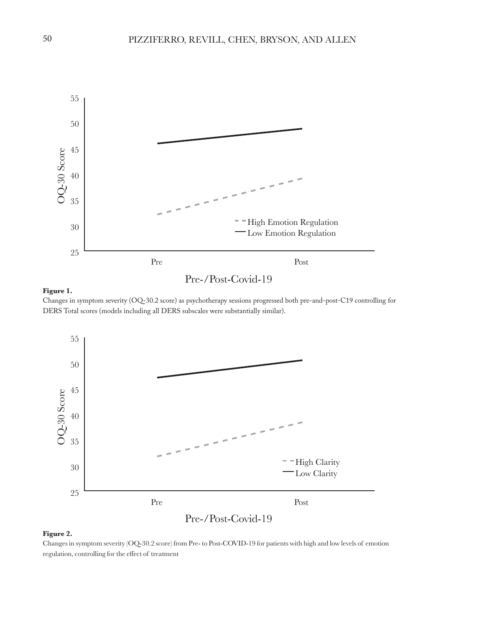

#### **Figure 1.**

Changes in symptom severity (OQ-30.2 score) as psychotherapy sessions progressed both pre-and-post-C19 controlling for DERS Total scores (models including all DERS subscales were substantially similar).



#### **Figure 2.**

Changes in symptom severity (OQ-30.2 score) from Pre- to Post-COVID-19 for patients with high and low levels of emotion regulation, controlling for the effect of treatment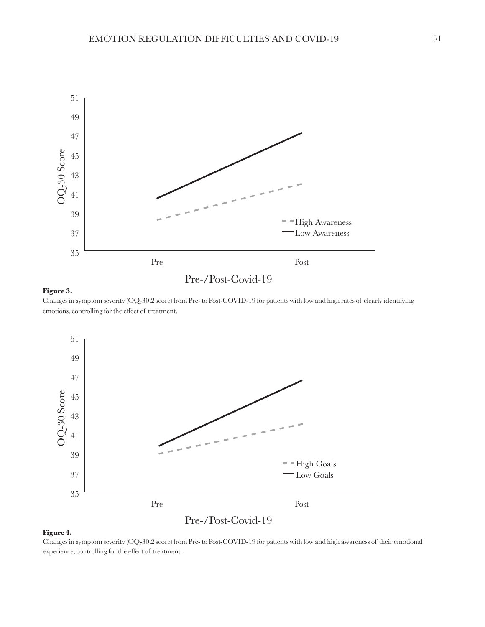

#### **Figure 3.**

Changes in symptom severity (OQ-30.2 score) from Pre- to Post-COVID-19 for patients with low and high rates of clearly identifying emotions, controlling for the effect of treatment.



#### **Figure 4.**

Changes in symptom severity (OQ-30.2 score) from Pre- to Post-COVID-19 for patients with low and high awareness of their emotional experience, controlling for the effect of treatment.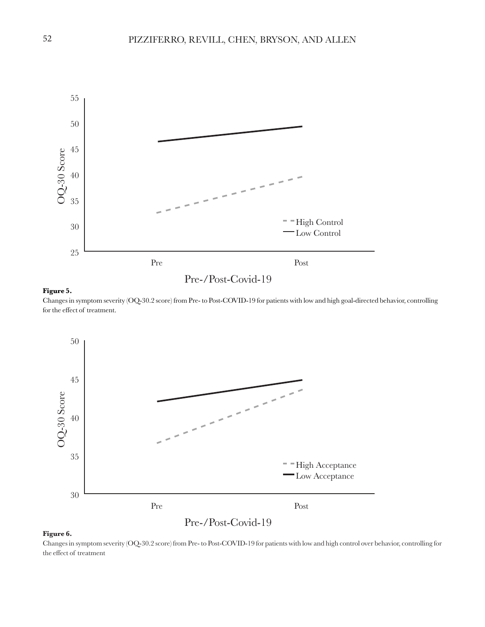

Changes in symptom severity (OQ-30.2 score) from Pre- to Post-COVID-19 for patients with low and high goal-directed behavior, controlling for the effect of treatment.



#### **Figure 6.**

Changes in symptom severity (OQ-30.2 score) from Pre- to Post-COVID-19 for patients with low and high control over behavior, controlling for the effect of treatment